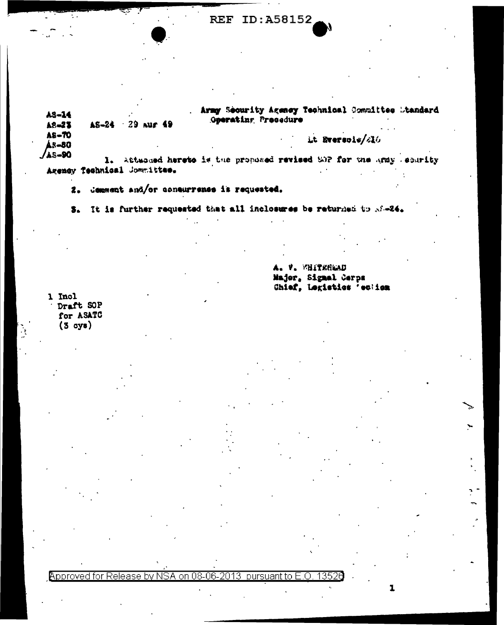| AS-14<br>A8-23        | AS-24 | $-29$ nur 49 | Army Security Agency Technical Committee Winndard<br>Operating Presedure     |  |  |
|-----------------------|-------|--------------|------------------------------------------------------------------------------|--|--|
| A8-70<br><b>AR-80</b> |       |              | Lt Eversols/216                                                              |  |  |
| <b>JAS-90</b>         |       |              | attance. When any world beginned to basecre the the state and head is anothy |  |  |

Agency Technical Jonatittee.

2. Comment and/or consurrence is requested.

3. It is further requested that all inclosures be returned to M-24.

A. V. WHITEHEAD Major, Signal Cerps Chief, Legistics 'echion

ĭ

1 Incl Draft SOP for ASATC  $(3 \text{ oys})$ 

#### Approved for Release by NSA on 08-06-2013 pursuant to E.O. 13526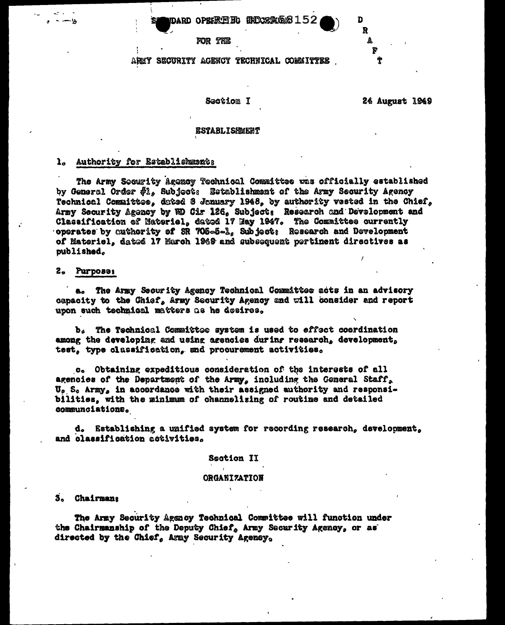#### THOORRASE6152 DARD OPEREE HG

FOR THE

## AREY SECURITY AGENCY TECHNICAL COMMITTEE

#### Section I

24 August 1949

n R

#### **ESTABLISHMENT**

### 1. Authority for Establishments

The Army Socurity Agency Technical Committee was officially established by General Order \$1, Subject: Establishment of the Army Security Agency Technical Committee, dated 8 January 1948, by authority vested in the Chief, Army Security Agency by HD Cir 126, Subject: Research and Development and Classification of Materiel, dated 17 Hay 1947. The Committee currently operates by authority of SR 705-5-1, Subject: Research and Development of Materiel, dated 17 March 1949 and subsequent pertinent directives as published.

#### Purpose: 2.

a. The Army Security Agency Technical Committee acts in an advisory capacity to the Chief, Army Security Agency and will consider and report upon such technical matters as he desires.

b. The Technical Committee system is used to effect coordination among the developing and using agencies during research, development, test, type classification, and procurement activities.

c. Obtaining expeditious consideration of the interests of all agencies of the Department of the Army, including the General Staff, U. S. Army, in accordance with their assigned authority and responsibilities, with the minimum of channelizing of routine and detailed communciations.

d. Establishing a unified system for recording research, development, and classification activities.

#### **Section II**

#### **ORGANIZATION**

#### 3. Chairmana

The Army Security Agency Technical Committee will function under the Chairmanship of the Deputy Chief, Army Security Agency, or as directed by the Chief, Army Security Agency,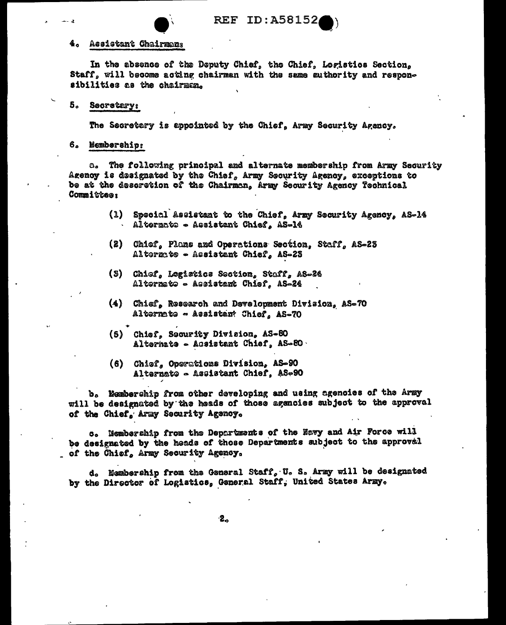

#### Assistant Chairman: 4.

In the absence of the Deputy Chief, the Chief, Logistics Section. Staff, will become acting chairman with the same authority and responsibilities as the chairman.

#### $5^{\circ}$ **Secretary:**

The Secretary is appointed by the Chief, Army Security Agency,

## 6. Membership:

a. The following principal and alternate membership from Army Security Agency is designated by the Chief, Army Security Agency, exceptions to be at the descretion of the Chairman, Army Security Agency Technical Committee:

- Special Assistant to the Chief. Army Security Agency, AS-14  $(1)$ Alternato - Assistant Chief, AS-16
- $(2)$ Chief, Plans and Operations Section. Staff. AS-23 Alternate - Assistant Chief, AS-23
- (3) Chief, Logistics Section, Staff, AS-24 Alternate - Assistant Chief, AS-24
- (4) Chief, Research and Development Division, AS-70 Alternate - Assistant Chief, AS-70
- (5) Chief, Security Division, AS-80 Alternate - Assistant Chief, AS-80.
- (6) Chief, Operations Division, AS-90 Alternate - Assistant Chief, AS-90

b. Membership from other developing and using agenoies of the Army will be designated by the heads of those agencies subject to the approval of the Chief, Army Security Agency.

c. Membership from the Departments of the Navy and Air Force will be designated by the heads of those Departments subject to the approval of the Chief, Army Security Agency.

d. Membership from the General Staff, U. S. Army will be designated by the Director of Logistics, General Staff, United States Army.

 $-2<sub>o</sub>$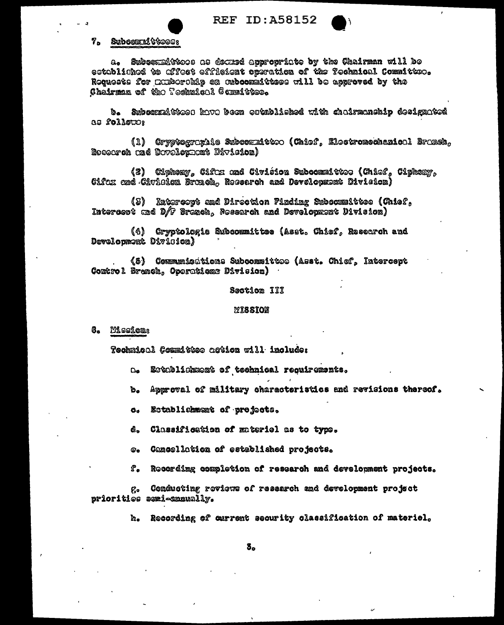**REF ID: A58152** 



## 7. Subcommittees:

Suboomaittoos as decued appropriate by the Chairman will be  $\mathbf{\omega}_{\mathbf{a}}$ established to offect efficient operation of the fechnical Committee. Requests for Exiberable on aubcommittees will be approved by the Chairman of the Technical Committee.

b. Subcompictes: have been established with chairmanship designated as follows

(1) Cryptographic Subcommitted (Chiof, Eloctromechanical Branch, Research and Davelopment Division)

(2) Ciphony, Cifer and Civiéion Subcommittee (Chiof, Ciphony, Cifex and Civision Brench, Resserch and Development Division)

(3) Ratercort and Direction Pindime Subcommittee (Chief, Intereest and D/F Branch, Research and Development Uivision)

(4) Cryptologie Subcommittee (Asst. Chief, Research and Development Divicion)

(5) Communicátions Subcommittee (Asst. Chief, Intercept Control Branch, Operations Division)

## Section III

## **MISSION**

8. Mission:

Technical Committee action will include:

- Establishment of technical requirements.  $\mathbf{a}$
- Approval of military characteristics and revisions thereof. ъ.
- Establichment of projects.  $\mathbf{G}_{\mathbf{G}}$
- d. Classification of materiel as to type.
- Cancellation of established projects.  $\boldsymbol{\omega}$ .
- ድ. Recording completion of research and development projects.

Conducting reviews of research and development project ę. priorities semi-annually.

> Recording of current security classification of materiel. ka.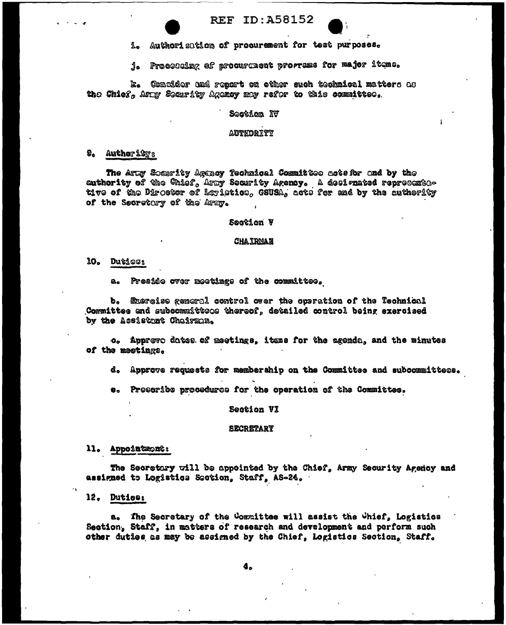Authorization of procurement for test purposes.  $\mathbf{L}$ 

j. Processing of procurencent programs for major items.

k. Consider and report on other such technical matters as the Chief, Army Security Agency may refor to this committee.

## Soction IV

### **AUTEORITY**

### $\mathbf{Q}_0$  Author 1273

The Arty Socurity Agency Technical Committee actsfor and by the authority of the Chief, Amy Security Agency. A designated represented tive of the Director of Loristics, GSUSA, acts for and by the authority of the Secretary of the Army.

#### Section V

#### **CHAIRMAN**

## 10. Duties:

Preside over meetings of the committee. a.

b. Exercise general control over the operation of the Technical Committee and subcommittees thereof, detailed control being exercised by the Assistant Chairman.

o. Approve dates of meetings, itens for the agenda, and the minutes of the meetings.

d. Approve requests for membership on the Committee and subcommittees.

e. Prescribe procedures for the operation of the Committee.

## Section VI

#### **SECRETARY**

## ll. Appointmont:

The Secretary will be appointed by the Chief, Army Security Agency and assigned to Logistics Section, Staff, AS-24.

12. Duties:

a. The Secretary of the Committee will assist the Chief, Logistics Section. Staff. in matters of research and development and perform such other duties as may be assigned by the Chief, Logistics Section, Staff.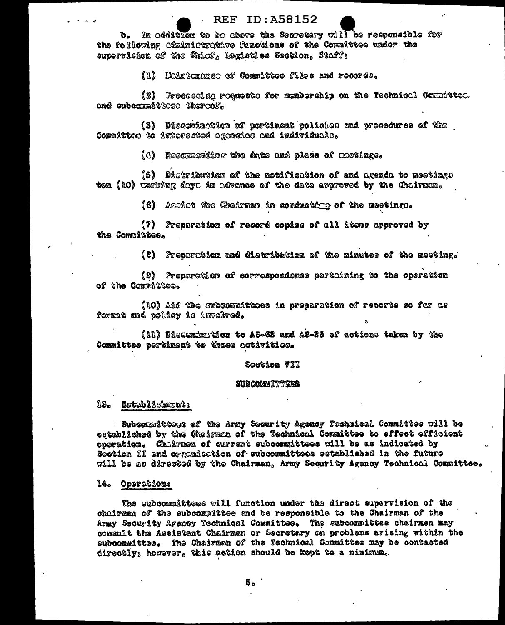b. In addition to be above the Secretary will be responsible for the following comininterative functions of the Committee under the supervision of the Chiof, Logistics Section, Staff;

(1) Uninternance of Committee files and records.

(2) Proseconing resussto for membership on the Technicel Cosmittee. and subcompitte and thereof.

(S) Discomination of portinent policies and procedures of the Committee to interested agencies and individuals.

(4) Rossmanding the date and plase of mortings.

(S) Distribution of the notification of and agenda to meetimgs ton (10) working days in advence of the date enorgyed by the Chairman.

(6) Assist the Chairman in conduction of the meetings.

(7) Properation of record copies of all items approved by the Committee.

(e) Proporation and distribution of the minutes of the meeting.

(9) Preparation of correspondence pertaining to the operation of the Committees.

(10) Aid the subcommittees in proparation of revorts so for as format med policy in involved.

(11) Disagmin tion to A5-62 and A5-25 of actions taken by the Committee pertiment to those activities.

#### Section VII

#### **SUBCOMMITTEES**

## 13. Establishmont:

· Subcommittees of the Army Security Agency Tochnical Committee will be established by the Chairman of the Technical Committee to effect efficient cooration. Chairmon of current subcommittees will be as indicated by Soction II and organization of subcommittees established in the future will be as directed by the Chairman, Army Security Agency Technical Committee.

## 14. Operation:

The subcommittess will function under the direct supervision of the chairman of the subcommittee and be responsible to the Chairman of the Army Security Agency Technical Committee. The subcommittee chairmen may consult the Assistant Chairman or Secretary on problems arising within the subcommittee. The Chairman of the Technical Committee may be contacted directly; however, this action should be kept to a minimum.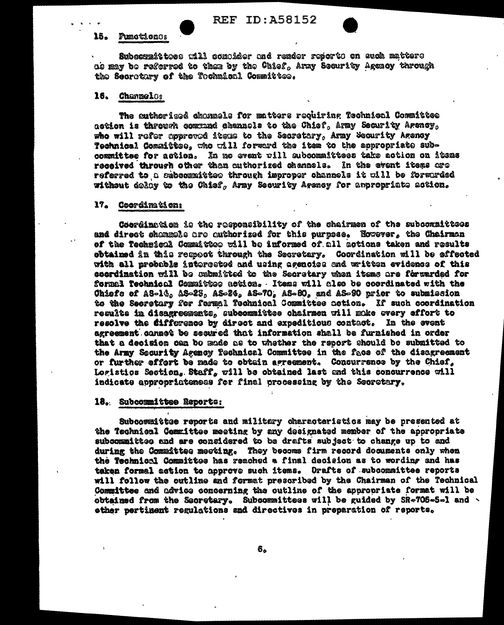#### $15<sub>o</sub>$ Punctiones

Subcompittoes will compider and render reports on such matters as may be referred to them by the Chief, Army Security Agenoy through the Secretary of the Tochmical Committee.

#### 16. **Channelos**

The sutherized chanzels for matters requiring Technical Committee action is through commad channels to the Chief, Army Security Agency, who will refer approved items to the Secretary, Army Security Agency Technical Comaittes, who will forward the item to the appropriate subcommittee for action. In mo event will subcommittees take action on items received through other than authorized channels. In the event items are referred to a subcommittee through improper channels it will be forwarded without delay to the Chief, Army Security Arency for anpropriate action.

## 17. Coordination:

Coordination is the responsibility of the chairmen of the subcommittees and direct shammals are authorized for this purpose. Nowever, the Chairman of the Technical Committee will be informed of all actions taken and results obtained in this respect through the Secretary. Coordination will be affected with all probable interested and using agenoiss and written evidence of this coordination will be submitted to the Secretary when items are forwarded for formal Technical Committee action. Items will also be coordinated with the Chiefe of AS-14, AS-23, AS-24, AS-70, AS-80, and AS-90 prior to submission to the Secretary for formal Technical Committee action. If such coordination results in disagresments, subcommittee chairmen will make overy effort to resolve the Cifference by direct and expeditious contact. In the event agreement cannet be secured that information shall be furnished in order that a decision can bo made as to whether the report should be submitted to the Army Security Agency Technical Committee in the face of the disagreement or further effort be made to obtain agreement. Concurrence by the Chief, Logistics Section, Staff, will be obtained last and this concurrence will indicate appropriateness for final processing by the Secretary.

#### 18. Subcommittee Reporte:

Subcownittee reports and military characteristics may be presented at the Technical Committee meeting by any designated member of the appropriate subcommittee and are considered to be drafts subject to change up to and during the Committee meeting. They become firm record documents only when the Technical Committee has reached a final decision as to wording and has taken formal astion to approve such items. Orafts of subcommittee reports will follow the outline and format prescribed by the Chairman of the Technical Committee and advice concerning the outline of the appropriate format will be obtained from the Secretary. Subcommittees will be guided by SR-705-5-1 and ether pertiment regulations and directives in preparation of reports.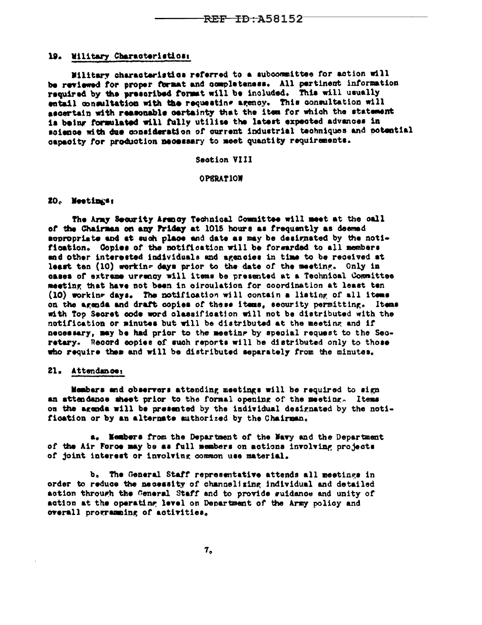## 19. Wilitary Characteristics:

Military characteristics referred to a subcommittee for action will be reviewed for proper format and completeness. All pertinent information required by the prescribed format will be included. This will usually entail consultation with the requesting agency. This consultation will ascertain with reasonable certainty that the item for which the statement is being formulated will fully utilise the latest expected advances in science with due consideration of current industrial techniques and potential capacity for production mecessary to meet quantity requirements.

#### Section VIII

### **OPERATION**

## 20. Meetings:

The Army Security Arency Technical Committee will meet at the call of the Chairman on any Friday at 1015 hours as frequently as deemed appropriate and at such place and date as may be designated by the notification. Copies of the notification will be forwarded to all members and other interested individuals and agencies in time to be received at least ten (10) working days prior to the date of the meeting. Only in cases of extrame urrency will items be presented at a Technical Committee meeting that have not been in circulation for coordination at least ten (10) working days. The notification will contain a listing of all items on the agenda and draft copies of these items, security permitting. Items with Top Secret code word classification will not be distributed with the notification or minutes but will be distributed at the meeting and if necessary, may be had prior to the meeting by special request to the Secretary. Record copies of such reports will be distributed only to those who require them and will be distributed separately from the minutes.

## 21. Attendance:

Members and observers attending meetings will be required to sign an attendance sheet prior to the formal opening of the meeting. Items on the agenda will be presented by the individual designated by the notification or by an alternate authorized by the Chairman.

a. Members from the Department of the Navy and the Department of the Air Force may be as full members on actions involving projects of joint interest or involving common use material.

b. The General Staff representative attends all meetings in order to reduce the necessity of channelizing individual and detailed action through the General Staff and to provide suidance and unity of action at the operating level on Department of the Army policy and overall programming of activities.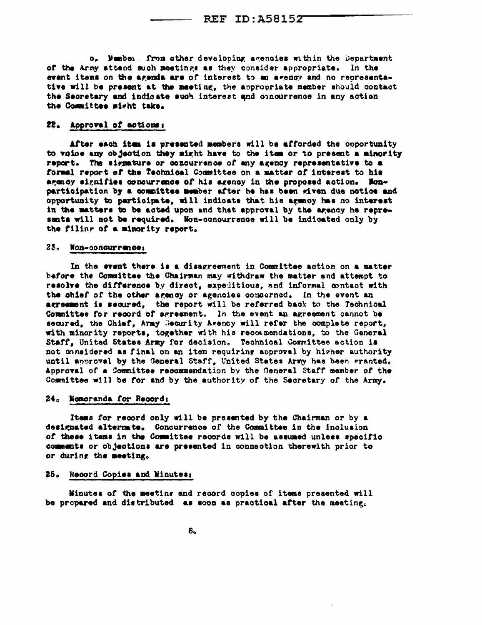o. Mumber. from other developing agencies within the Department of the Army attend such meetings as they consider appropriate. In the event items on the agenda are of interest to an agency and no representative will be present at the meeting, the appropriate member should contact the Secretary and indicate such interest and concurrence in any action the Committee might take.

#### 22. Approval of actions:

After each item is presented members will be afforded the opportunity to voice any objection they might have to the item or to present a minority report. The signature or concurrence of any agency representative to a formal report of the Technical Committee on a matter of interest to his agency signifies concurrence of his agency in the proposed action. Nonparticipation by a committee member after he has been given due notice and opportunity to participate, will indicate that his agency has no interest in the matters to be acted upon and that approval by the agency he represents will not be required. Won-concurrence will be indicated only by the filing of a minority report.

#### 23. Non-concurrence:

In the event there is a disagreement in Committee action on a matter before the Committee the Chairman may withdraw the matter and attempt to resolve the difference by direct, expeditious, and informal contact with the chief of the other agency or agencies concerned. In the event an agreement is secured, the report will be referred back to the Technical Committee for record of agreement. In the event an agreement cannot be secured, the Chief, Army Security Agency will refer the complete report, with minority reports, together with his recommendations, to the General Staff, United States Army for decision. Technical Committee action is not considered as final on an item requiring approval by higher authority until approval by the General Staff, United States Army has been granted. Approval of a Committee recommendation by the General Staff member of the Committee will be for and by the authority of the Secretary of the Army.

### 24. Momoranda for Record:

Items for record only will be presented by the Chairman or by a designated alternate. Concurrence of the Committee in the inclusion of these items in the Committee records will be assumed unless specific comments or objections are presented in connection therewith prior to or during the meeting.

### 25. Record Copies and Minutes:

Minutes of the meeting and record copies of items presented will be propared and distributed as soon as practical after the meeting.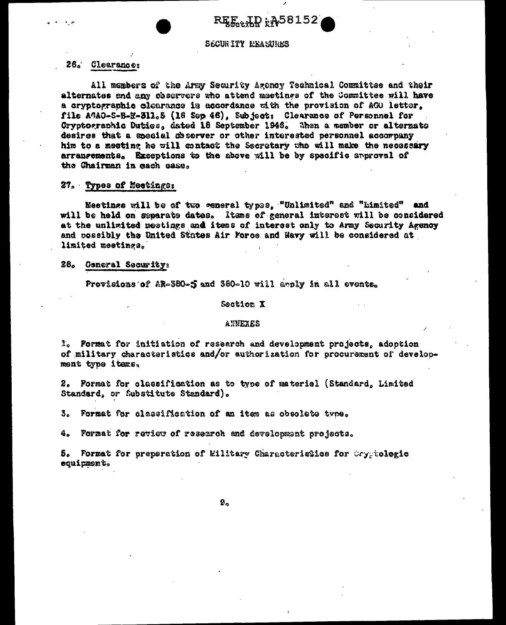**REE LD : A58152** 

## **SECURITY MEASTRES**

## 26. Clearances

All members of the Army Security Agency Technical Committee and their alternates and any chearvers who attend meetings of the Committee will have a cryptographic clearance is accordance with the provision of AGO letter. file AGAO-S-B-M-311.5 (16 Sep 46), Subject: Clearance of Personnel for Cryptographic Duties, dated 18 September 1946. When a member or alternate desires that a special coserver or other interested personnel accompany him to a meeting he will contact the Secretary who will make the necessary arrangements. Exceptions to the above will be by specific approval of the Chairman in each case.

### 27. Types of Meetings:

Meetings will be of two general types. "Unlimited" and "Limited" and will be held on separate dates. Items of general interest will be considered at the unlimited meetings and items of interest only to Army Security Agency and possibly the United States Air Force and Navy will be considered at limited meetings.

#### 28. Ceneral Security:

Provisions of AR-380-5 and 380-10 will apply in all events.

#### Section X

#### **ANNEXES**

I. Format for initiation of research and development projects, adoption of military characteristics and/or authorization for procurement of development type items.

2. Format for classification as to type of materiel (Standard, Limited Standard, or Substitute Standard).

3. Format for classification of an item as obsolete type.

4. Format for review of research and development projects.

5. Format for preparation of kilitary Characteristics for Cryptologic equipment.

 $9<sub>o</sub>$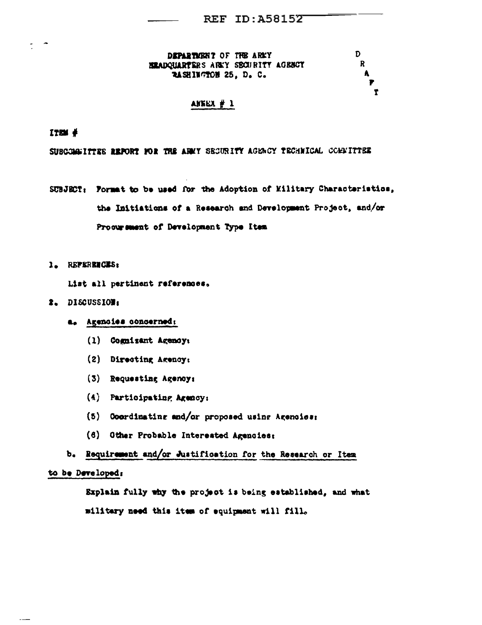D.

 $\mathbf R$ 

A

Ť

DEPARTMENT OF THE ARKY **BRADQUARTERS ARKY SECURITY AGENCY** RASHINGTON 25, D. C.

## ANKEX  $#1$

 $1704 \#$ 

SUBCOMMITTEE REPORT FOR TRE ARMY SECURITY AGENCY TECHNICAL COMMITTEE

- SUBJECT: Pormat to be used for the Adoption of Military Characteristics, the Initiations of a Research and Development Project, and/or Procurement of Development Type Item
- 1. REPERENCES:

List all pertinent references.

- 2. DISCUSSION:
	- a. Agencies concerned;
		- (1) Cognizant Agency:
		- (2) Directing Agency:
		- (3) Requesting Agency:
		- $(4)$  Participating Agency:
		- (5) Coordinating and/or proposed using Agencies:
		- (6) Other Probable Interested Agencies:
	- b. Requirement and/or Justification for the Research or Item

# to be Developed:

Explain fully why the project is being established, and what military need this item of equipment will fill.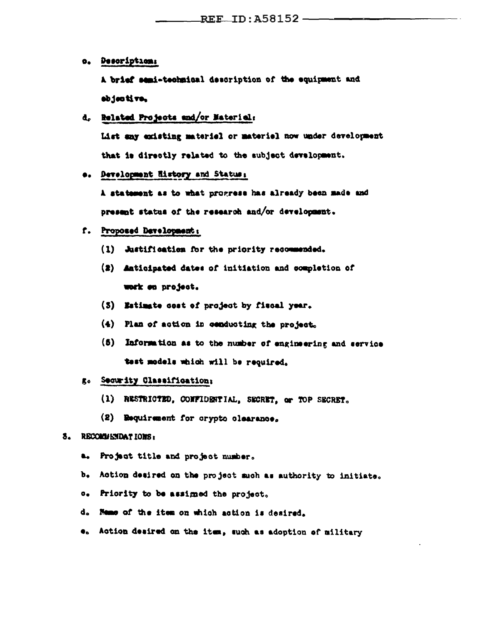o. Description:

A brief semi-technical description of the equipment and objective,

d. Related Projects and/or Material:

List any existing material or material now under development that is directly related to the subject development.

e. Development History and Status:

A statement as to what progress has already been made and present status of the research and/or development.

# f. Proposed Development:

- (1) Justification for the priority recommended.
- (2) Anticipated dates of initiation and completion of work on project.
- (3) Estimate cost of project by fiscal year.
- (4) Plan of action in conducting the project.
- (5) Information as to the number of engineering and service test models which will be required.

# g. Security Classification;

- (1) RESTRICTED, CONFIDENTIAL, SECRET, or TOP SECRET.
- (2) Requirement for crypto clearance.

# 3. RECOMMENDATIONS:

- a. Project title and project number.
- b. Action desired on the project such as authority to initiate.
- c. Priority to be assimed the project.
- d. Neme of the item on which action is desired.
- $\bullet$ . Action desired on the item, such as adoption of military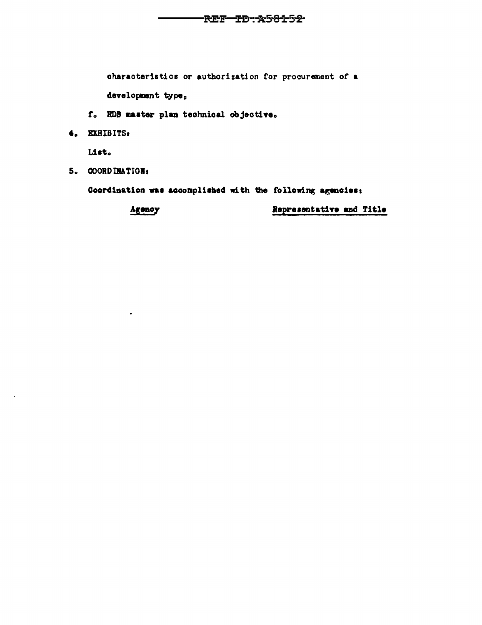characteristics or authorization for procurement of a

development type,

- f. RDB master plan technical objective.
- 4. EXHIBITS:

List.

5. COORDINATION:

Coordination was accomplished with the following agencies:

Agency

 $\bullet$ 

Representative and Title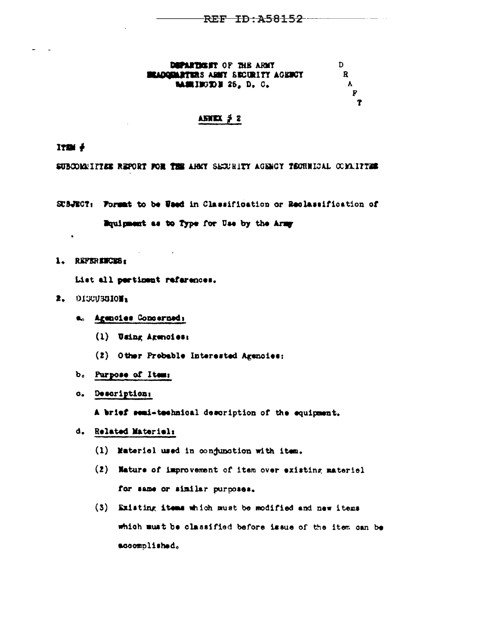DEPARTMENT OF THE ARMY **BRADQUARTERS ARMY SECURITY AGENCY MEIEDE 25, D. C.** 

D.  $\mathbf{R}$  $\mathbf{A}$ P Ŧ

## $\triangle$ **SNEX**  $\neq$  2

ITIN  $\ddagger$ 

 $\ddot{\phantom{0}}$ 

SUBCOMMITTEE REPORT FOR THE AHNY SECURITY AGENCY TECHNICAL COMMITTEE

- SUBJECT: Formut to be Used in Classification or Reclassification of Equipment as to Type for Use by the Army
- 1. REPERENCES:

List all pertinent references.

- $2.0133J3J0J<sub>1</sub>$ 
	- a. Agencies Concerned:
		- (1) Using Agencies:
		- (2) Other Probable Interested Agencies:
	- b. Purpose of Item:
	- o. Description:

A brief semi-technical description of the equipment.

- d. Related Materiel:
	- (1) Materiel used in conjunction with item.
	- (2) Nature of improvement of item over existing materiel for same or similar purposes.
	- (3) Existing items which must be modified and new items which must be classified before issue of the item can be accomplished.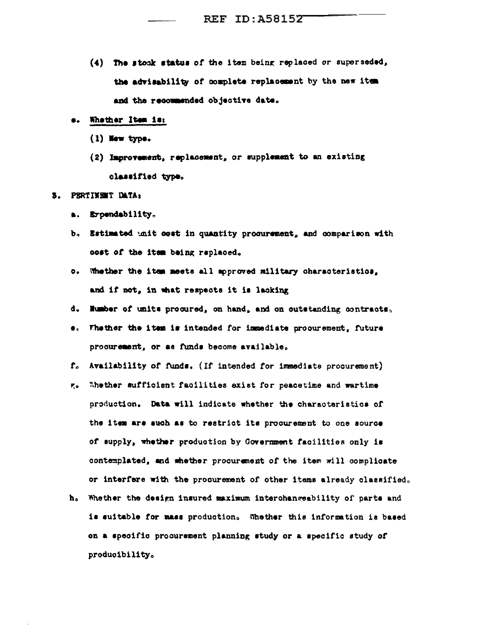- (4) The stock status of the item being replaced or superseded, the advisability of complete replacement by the new item and the recommended objective date.
- e. Whether Item is:
	- (1) New type.
	- (2) Improvement, replacement, or supplement to an existing classified type.

#### PERTINENT DATA: Ъ.

- a. Erpendability.
- b. Estimated unit cost in quantity procurement, and comparison with cost of the item being replaced.
- o. Whether the item meets all approved military characteristics. and if not, in what respects it is lacking
- d. Humber of units procured, on hand, and on outstanding contracts.
- e. Thether the item is intended for immediate procurement, future procurement, or as funds become available.
- f. Availability of funds. (If intended for immediate procurement)
- r. Thether sufficient facilities exist for peacetime and wartime production. Data will indicate whether the characteristics of the item are such as to restrict its procurement to one source of supply, whether production by Government facilities only is contemplated, and whether procurement of the item will complicate or interfere with the procurement of other items already classified.
- h. Whether the design insured maximum interchangeability of parts and is suitable for mass production. Whether this information is based on a specific procurement planning study or a specific study of producibility.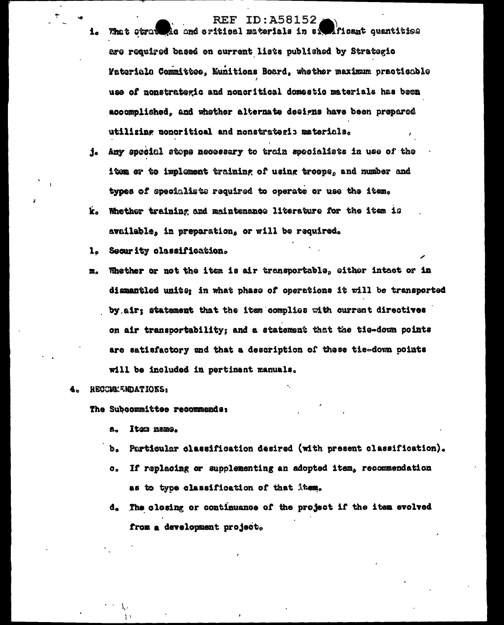# **REF ID: A58152** Ac and eritical materials in ai

Aficant quantities

- are required based on current lists published by Strategic **Faterials Committee, Munitions Board, whether maximum practicable** use of nonstrategic and noncritical domestic materials has been accomplished, and whether alternate designs have been prepared utilizing noncritical and nonstrategic materials.
- Any special stops necessary to train specialists in use of the j. item or to implement training of using troops, and number and types of specialists required to operate or use the item.
- $\mathbf{k}$ . Whether training and maintenance literature for the item is available, in preparation, or will be required.
- $1<sub>0</sub>$ Security classification.
- Whether or not the item is air transportable, either intact or in m. dismantled units; in what phase of operations it will be transported by air; statement that the item complies with current directives on air transportability; and a statement that the tie-down points are satisfactory and that a description of these tie-down points will be included in pertinent manuals.

## RECOMMENDATIONS:

 $1<sub>o</sub>$ 

What strat

The Subcommittee recommends:

- Item name. А.
- $\mathbf{b}_\alpha$ Particular classification desired (with present classification).
- If replacing or supplementing an adopted item, recommendation  $\circ$ . as to type classification of that item.
- The closing or continuance of the project if the item evolved d. from a development project.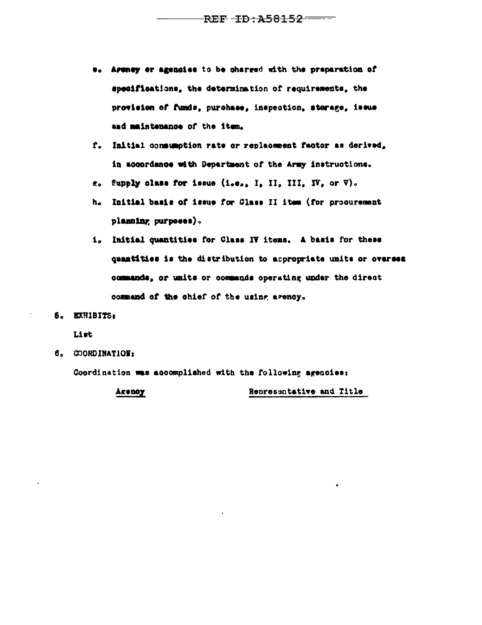- e. Areney er agencies to be charged with the preparation of specifications, the determination of requirements, the provision of funds, purchase, inspection, storage, issue and maintenance of the item.
- f. Initial consumption rate or replacement factor as derived. in accordance with Department of the Army instructions.
- $e_0$  Supply class for issue (i.e., I, II, III, IV, or V).
- h. Initial basis of issue for Class II item (for procurement planning purposes).
- i. Initial quantities for Class IV items. A basis for these quantities is the distribution to appropriate units or overses commands, or units or commands operating under the direct command of the chief of the using agency.
- 5. EXHIBITS:

List

6. COORDINATION:

Coordination was accomplished with the following agencies:

Areney Representative and Title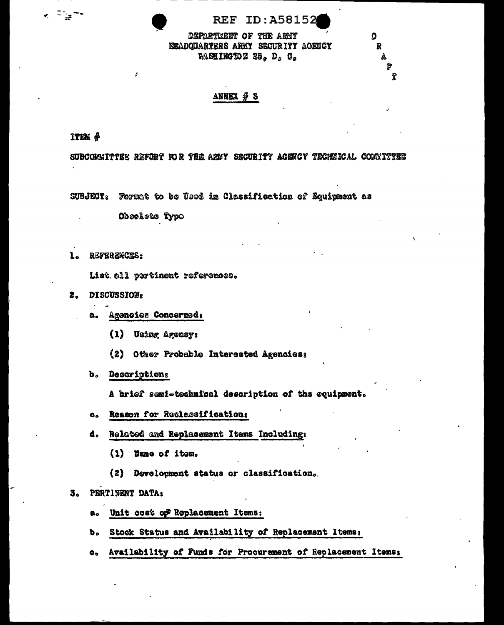O

R

P

DEPARTMENT OF THE ARMY EEADQUARTERS ARMY SECURITY AGENCY **WASHINGTON 25, D, C,** 

# ANNEX  $\frac{A}{I}$  3

ITEM #

k Fight

SUBCOMMITTEE REFORT FOR THE ARMY SECURITY AGENCY TECHNICAL COMMITTEE

SUBJECT: Format to be Used in Classification of Equipment as

Obsolete Type

 $\mathbf{1}_{\bullet}$ REFERZNCES:

List. all pertinent references.

- 2. DISCUSSIONs
	- a. Agencies Concerned:
		- (1) Using Agency:
		- (2) Other Probable Interested Agencies;
	- b. Descriptions

A brief semi-technical description of the equipment.

- c. Reason for Reclassification:
- d. Related and Replacement Items Including:
	- (1) Name of item.
	- (2) Development status or classification.

#### PERTINENT DATA:  $3<sub>o</sub>$

- a. Unit cost of Replacement Items:
- b. Stock Status and Availability of Replacement Items:
- Availability of Funds for Procurement of Replacement Items:  $\mathbf{o}_{\mathbf{v}}$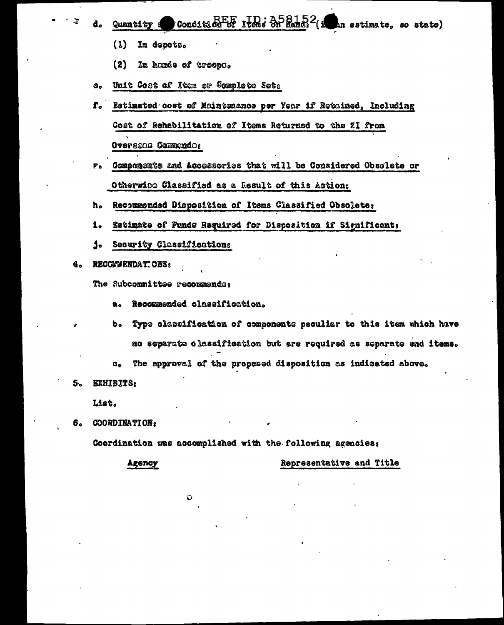- $\frac{1}{2}$ Condition  $\frac{1}{2}$   $\frac{1}{2}$   $\frac{1}{2}$   $\frac{1}{2}$   $\frac{1}{2}$   $\frac{1}{2}$   $\frac{1}{2}$   $\frac{1}{2}$   $\frac{1}{2}$   $\frac{1}{2}$   $\frac{1}{2}$   $\frac{1}{2}$   $\frac{1}{2}$   $\frac{1}{2}$   $\frac{1}{2}$   $\frac{1}{2}$   $\frac{1}{2}$   $\frac{1}{2}$   $\frac{1}{2}$   $\frac{1}{2}$   $\$ an estimate, so state) Quantity a
	- $(1)$ In depots.
	- $(2)$ In hands of troops.
- Unit Cost of Item or Complete Sets  $\mathbf{s}_{\bullet}$
- ${\bf f}$ . Estimated cost of Maintenance per Year if Retained, Including Cost of Rehabilitation of Items Returned to the ZI from Oversons Commendo:
- Compoments and Accessories that will be Considered Obsolete or  $P_{\alpha}$ Otherwice Classified as a Result of this Action;
- Recommended Disposition of Items Classified Obsolete: h.
- Estimate of Funds Required for Disposition if Significant: i.
- j. Security Classifications
- **RECOMMENDATIONS:** 4.

The Subcommittee recommends:

Recommended classification.  $\mathbf{a}$ .

O

- Type classification of components peculiar to this item which have b. no separate classification but are required as separate end items.
- The approval of the proposed disposition as indicated above.  $c_{\bullet}$
- 5. EXHIBITS:

List.

**COORDINATION:** 6.

Coordination was accomplished with the following agencies:

**Agency** 

Representative and Title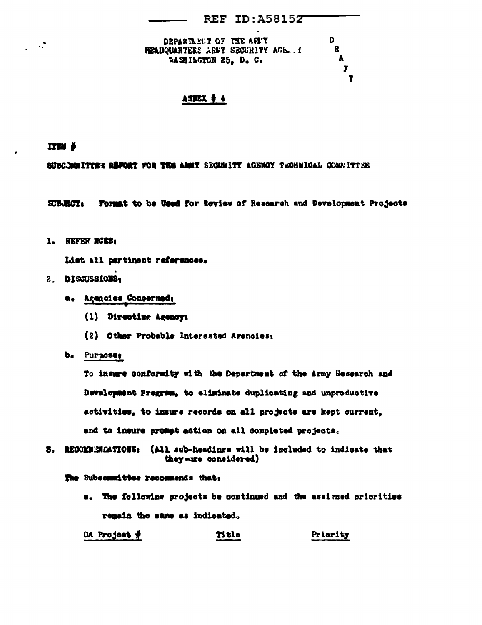| DEPARTMENT OF THE ARMY            | D |
|-----------------------------------|---|
| NEADQUARTERS AREY SECURITY AGE. ! | R |
| WASHINGTON 25. D. C.              | A |
|                                   |   |
|                                   |   |

# $A.3NEX$   $\neq$  4

IT™ ∲

 $\sim 10^7$ 

SUBCJANITTES RAPORT FOR THE ARMY SECURITY AGENCY TECHNICAL COMMITTEE

Format to be Used for Review of Research and Development Projects SUBJECT.

1. REFER NCES:

List all pertinent references.

# 2. DISCUSSIONS:

- a. Agancies Concerned:
	- (1) Directing Agency:
	- (2) Other Probable Interested Agencies:
- b. Purpose:

To insure conformity with the Department of the Army Research and Development Program, to eliminate duplicating and unproductive activities, to insure records on all projects are kept current, and to insure prompt action on all completed projects.

3. RECOMMENDATIONS: (All sub-headings will be included to indicate that they ware considered)

The Subcommittee recommends that:

a. The following projects be continued and the assigned priorities remain the same as indicated.

DA Project  $#$ **Title** Priority